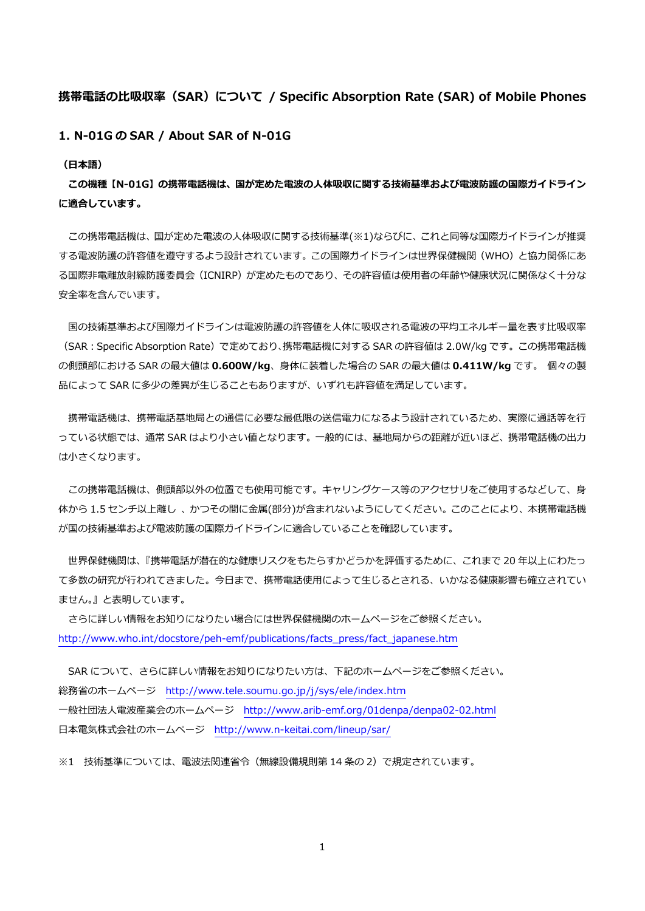# **携帯電話の⽐吸収率(SAR)について / Specific Absorption Rate (SAR) of Mobile Phones**

**1. N-01G の SAR / About SAR of N-01G** 

**(⽇本語)** 

**この機種【N-01G】の携帯電話機は、国が定めた電波の⼈体吸収に関する技術基準および電波防護の国際ガイドライン に適合しています。** 

この携帯電話機は、国が定めた電波の人体吸収に関する技術基準(※1)ならびに、これと同等な国際ガイドラインが推奨 する電波防護の許容値を遵守するよう設計されています。この国際ガイドラインは世界保健機関(WHO)と協⼒関係にあ る国際非電離放射線防護委員会(ICNIRP)が定めたものであり、その許容値は使用者の年齢や健康状況に関係なく十分な 安全率を含んでいます。

国の技術基準および国際ガイドラインは電波防護の許容値を人体に吸収される電波の平均エネルギー量を表す比吸収率 (SAR:Specific Absorption Rate)で定めており、携帯電話機に対する SAR の許容値は 2.0W/kg です。この携帯電話機 の側頭部における SAR の最⼤値は **0.600W/kg**、⾝体に装着した場合の SAR の最⼤値は **0.411W/kg** です。 個々の製 品によって SAR に多少の差異が生じることもありますが、いずれも許容値を満足しています。

携帯電話機は、携帯電話基地局との通信に必要な最低限の送信電力になるよう設計されているため、実際に通話等を行 っている状態では、通常 SAR はより小さい値となります。一般的には、基地局からの距離が近いほど、携帯電話機の出力 は⼩さくなります。

この携帯電話機は、側頭部以外の位置でも使用可能です。キャリングケース等のアクセサリをご使用するなどして、身 体から 1.5 センチ以上離し、かつその間に金属(部分)が含まれないようにしてください。このことにより、本携帯電話機 が国の技術基準および電波防護の国際ガイドラインに適合していることを確認しています。

 世界保健機関は、『携帯電話が潜在的な健康リスクをもたらすかどうかを評価するために、これまで 20 年以上にわたっ て多数の研究が行われてきました。今日まで、携帯電話使用によって生じるとされる、いかなる健康影響も確立されてい ません。』と表明しています。

 さらに詳しい情報をお知りになりたい場合には世界保健機関のホームページをご参照ください。 http://www.who.int/docstore/peh-emf/publications/facts\_press/fact\_japanese.htm

SAR について、さらに詳しい情報をお知りになりたい方は、下記のホームページをご参照ください。 総務省のホームページ http://www.tele.soumu.go.jp/j/sys/ele/index.htm ⼀般社団法⼈電波産業会のホームページ http://www.arib-emf.org/01denpa/denpa02-02.html 日本電気株式会社のホームページ http://www.n-keitai.com/lineup/sar/

※1 技術基準については、電波法関連省令(無線設備規則第 14 条の 2)で規定されています。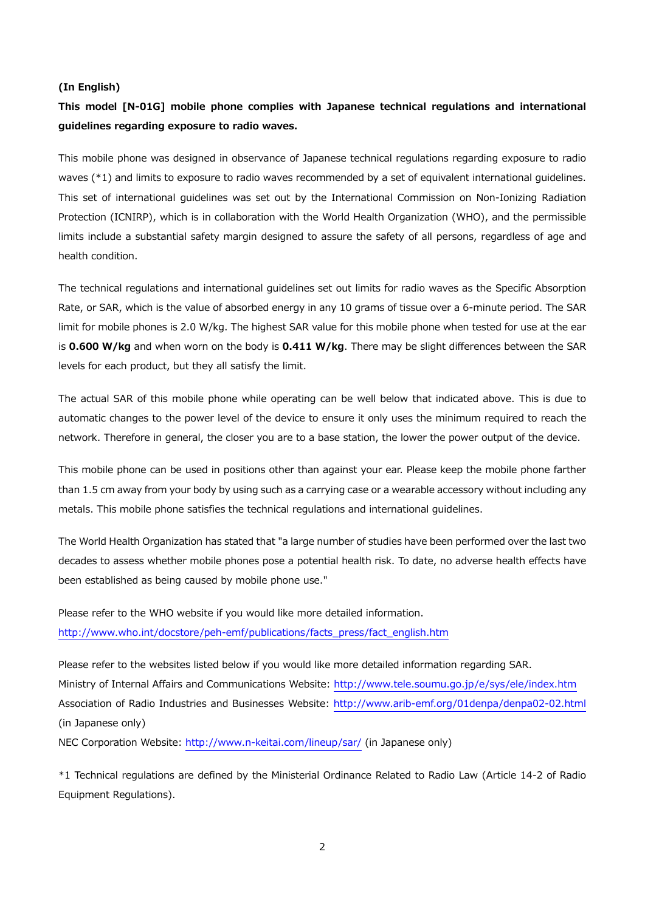#### **(In English)**

# **This model [N-01G] mobile phone complies with Japanese technical regulations and international guidelines regarding exposure to radio waves.**

This mobile phone was designed in observance of Japanese technical regulations regarding exposure to radio waves (\*1) and limits to exposure to radio waves recommended by a set of equivalent international guidelines. This set of international guidelines was set out by the International Commission on Non-Ionizing Radiation Protection (ICNIRP), which is in collaboration with the World Health Organization (WHO), and the permissible limits include a substantial safety margin designed to assure the safety of all persons, regardless of age and health condition.

The technical regulations and international guidelines set out limits for radio waves as the Specific Absorption Rate, or SAR, which is the value of absorbed energy in any 10 grams of tissue over a 6-minute period. The SAR limit for mobile phones is 2.0 W/kg. The highest SAR value for this mobile phone when tested for use at the ear is **0.600 W/kg** and when worn on the body is **0.411 W/kg**. There may be slight differences between the SAR levels for each product, but they all satisfy the limit.

The actual SAR of this mobile phone while operating can be well below that indicated above. This is due to automatic changes to the power level of the device to ensure it only uses the minimum required to reach the network. Therefore in general, the closer you are to a base station, the lower the power output of the device.

This mobile phone can be used in positions other than against your ear. Please keep the mobile phone farther than 1.5 cm away from your body by using such as a carrying case or a wearable accessory without including any metals. This mobile phone satisfies the technical regulations and international guidelines.

The World Health Organization has stated that "a large number of studies have been performed over the last two decades to assess whether mobile phones pose a potential health risk. To date, no adverse health effects have been established as being caused by mobile phone use."

Please refer to the WHO website if you would like more detailed information. http://www.who.int/docstore/peh-emf/publications/facts\_press/fact\_english.htm

Please refer to the websites listed below if you would like more detailed information regarding SAR. Ministry of Internal Affairs and Communications Website: http://www.tele.soumu.go.jp/e/sys/ele/index.htm Association of Radio Industries and Businesses Website: http://www.arib-emf.org/01denpa/denpa02-02.html (in Japanese only)

NEC Corporation Website: http://www.n-keitai.com/lineup/sar/ (in Japanese only)

\*1 Technical regulations are defined by the Ministerial Ordinance Related to Radio Law (Article 14-2 of Radio Equipment Regulations).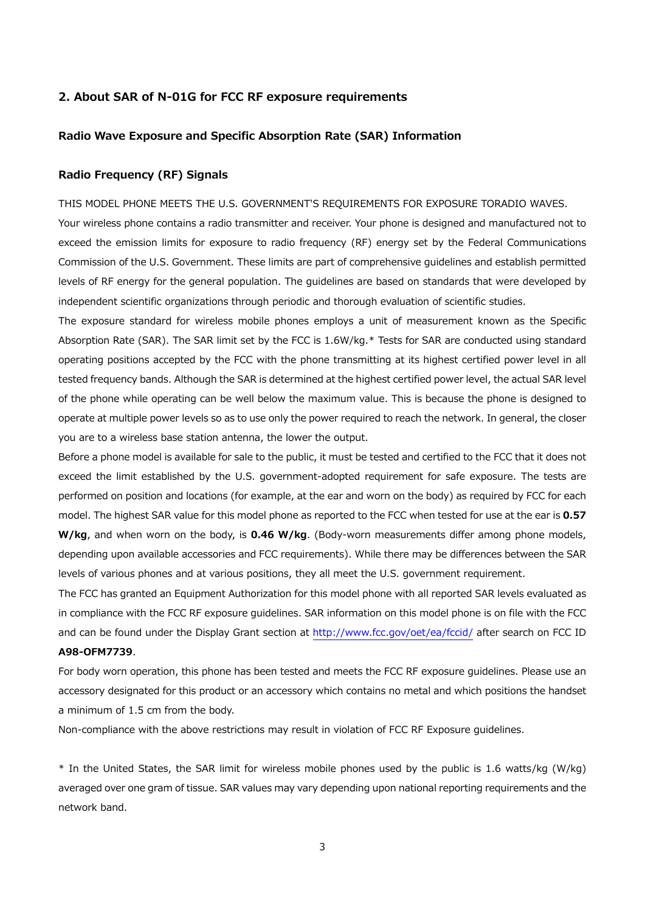## **2. About SAR of N-01G for FCC RF exposure requirements**

# **Radio Wave Exposure and Specific Absorption Rate (SAR) Information**

# **Radio Frequency (RF) Signals**

THIS MODEL PHONE MEETS THE U.S. GOVERNMENT'S REQUIREMENTS FOR EXPOSURE TORADIO WAVES.

Your wireless phone contains a radio transmitter and receiver. Your phone is designed and manufactured not to exceed the emission limits for exposure to radio frequency (RF) energy set by the Federal Communications Commission of the U.S. Government. These limits are part of comprehensive guidelines and establish permitted levels of RF energy for the general population. The guidelines are based on standards that were developed by independent scientific organizations through periodic and thorough evaluation of scientific studies.

The exposure standard for wireless mobile phones employs a unit of measurement known as the Specific Absorption Rate (SAR). The SAR limit set by the FCC is 1.6W/kg.\* Tests for SAR are conducted using standard operating positions accepted by the FCC with the phone transmitting at its highest certified power level in all tested frequency bands. Although the SAR is determined at the highest certified power level, the actual SAR level of the phone while operating can be well below the maximum value. This is because the phone is designed to operate at multiple power levels so as to use only the power required to reach the network. In general, the closer you are to a wireless base station antenna, the lower the output.

Before a phone model is available for sale to the public, it must be tested and certified to the FCC that it does not exceed the limit established by the U.S. government-adopted requirement for safe exposure. The tests are performed on position and locations (for example, at the ear and worn on the body) as required by FCC for each model. The highest SAR value for this model phone as reported to the FCC when tested for use at the ear is **0.57 W/kg**, and when worn on the body, is **0.46 W/kg**. (Body-worn measurements differ among phone models, depending upon available accessories and FCC requirements). While there may be differences between the SAR levels of various phones and at various positions, they all meet the U.S. government requirement.

The FCC has granted an Equipment Authorization for this model phone with all reported SAR levels evaluated as in compliance with the FCC RF exposure guidelines. SAR information on this model phone is on file with the FCC and can be found under the Display Grant section at http://www.fcc.gov/oet/ea/fccid/ after search on FCC ID **A98-OFM7739**.

For body worn operation, this phone has been tested and meets the FCC RF exposure guidelines. Please use an accessory designated for this product or an accessory which contains no metal and which positions the handset a minimum of 1.5 cm from the body.

Non-compliance with the above restrictions may result in violation of FCC RF Exposure guidelines.

\* In the United States, the SAR limit for wireless mobile phones used by the public is 1.6 watts/kg (W/kg) averaged over one gram of tissue. SAR values may vary depending upon national reporting requirements and the network band.